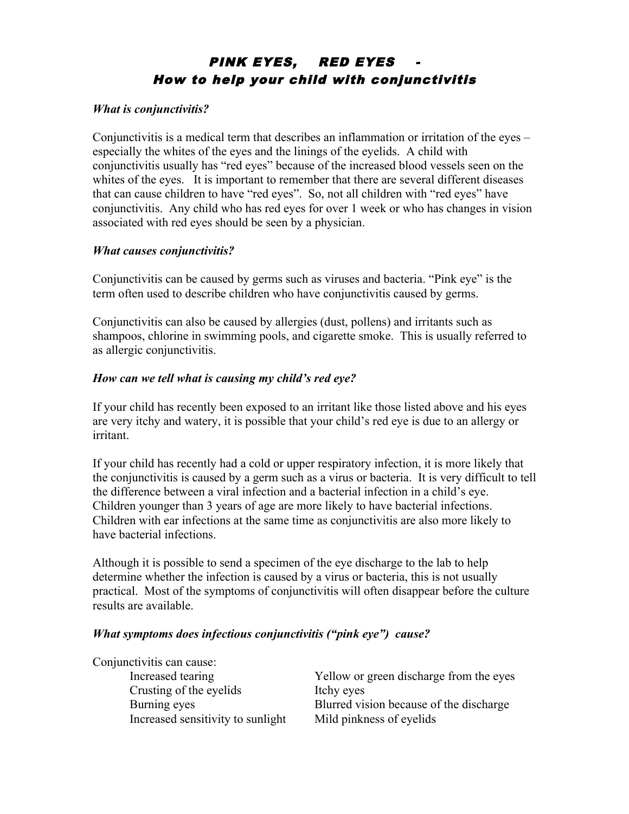# PINK EYES, RED EYES How to help your child with conjunctivitis

#### *What is conjunctivitis?*

Conjunctivitis is a medical term that describes an inflammation or irritation of the eyes – especially the whites of the eyes and the linings of the eyelids. A child with conjunctivitis usually has "red eyes" because of the increased blood vessels seen on the whites of the eyes. It is important to remember that there are several different diseases that can cause children to have "red eyes". So, not all children with "red eyes" have conjunctivitis. Any child who has red eyes for over 1 week or who has changes in vision associated with red eyes should be seen by a physician.

# *What causes conjunctivitis?*

Conjunctivitis can be caused by germs such as viruses and bacteria. "Pink eye" is the term often used to describe children who have conjunctivitis caused by germs.

Conjunctivitis can also be caused by allergies (dust, pollens) and irritants such as shampoos, chlorine in swimming pools, and cigarette smoke. This is usually referred to as allergic conjunctivitis.

# *How can we tell what is causing my child's red eye?*

If your child has recently been exposed to an irritant like those listed above and his eyes are very itchy and watery, it is possible that your child's red eye is due to an allergy or irritant.

If your child has recently had a cold or upper respiratory infection, it is more likely that the conjunctivitis is caused by a germ such as a virus or bacteria. It is very difficult to tell the difference between a viral infection and a bacterial infection in a child's eye. Children younger than 3 years of age are more likely to have bacterial infections. Children with ear infections at the same time as conjunctivitis are also more likely to have bacterial infections.

Although it is possible to send a specimen of the eye discharge to the lab to help determine whether the infection is caused by a virus or bacteria, this is not usually practical. Most of the symptoms of conjunctivitis will often disappear before the culture results are available.

#### *What symptoms does infectious conjunctivitis ("pink eye") cause?*

| Yellow or green discharge from the eyes |
|-----------------------------------------|
| Itchy eyes                              |
| Blurred vision because of the discharge |
| Mild pinkness of eyelids                |
|                                         |